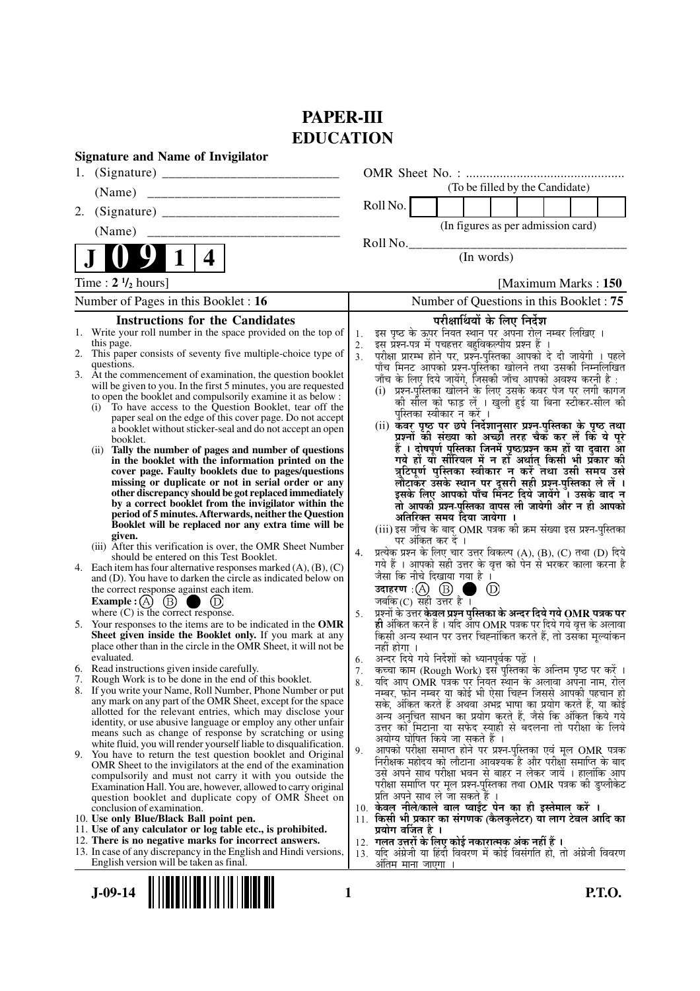# **PAPER-III EDUCATION**

|    | <b>Signature and Name of Invigilator</b>                                                                                      |                      |                                                                                                                               |
|----|-------------------------------------------------------------------------------------------------------------------------------|----------------------|-------------------------------------------------------------------------------------------------------------------------------|
| 1. |                                                                                                                               |                      |                                                                                                                               |
|    | (Name)                                                                                                                        |                      | (To be filled by the Candidate)                                                                                               |
| 2. |                                                                                                                               |                      | Roll No.                                                                                                                      |
|    | (Name)                                                                                                                        |                      | (In figures as per admission card)                                                                                            |
|    |                                                                                                                               |                      | Roll No.                                                                                                                      |
|    | 4                                                                                                                             |                      | (In words)                                                                                                                    |
|    | Time : $2 \frac{1}{2}$ hours]                                                                                                 |                      | [Maximum Marks: 150]                                                                                                          |
|    | Number of Pages in this Booklet: 16                                                                                           |                      | Number of Questions in this Booklet: 75                                                                                       |
|    | <b>Instructions for the Candidates</b>                                                                                        |                      | परीक्षार्थियों के लिए निर्देश                                                                                                 |
|    | 1. Write your roll number in the space provided on the top of                                                                 | 1.                   | इस पृष्ठ के ऊपर नियत स्थान पर अपना रोल नम्बर लिखिए ।<br>इस प्रश्न-पत्र में पचहत्तर बहुविकल्पीय प्रश्न हैं ।                   |
|    | this page.<br>2. This paper consists of seventy five multiple-choice type of                                                  | 2.<br>3 <sub>1</sub> | परीक्षा प्रारम्भ होने पर, प्रश्न-पुस्तिका आपको दे दी जायेगी । पहले                                                            |
|    | questions.                                                                                                                    |                      | पाँच मिनट आपको प्रश्न-पुस्तिका खोलने तथा उसकी निम्नलिखित                                                                      |
|    | 3. At the commencement of examination, the question booklet                                                                   |                      | जाँच के लिए दिये जायेंगे, जिसकी जाँच आपको अवश्य करनी है :                                                                     |
|    | will be given to you. In the first 5 minutes, you are requested<br>to open the booklet and compulsorily examine it as below : |                      | (i)  प्रश्न-पुस्तिका खोलने के लिए उसके कवर पेज पर लगी कागज                                                                    |
|    | To have access to the Question Booklet, tear off the<br>(i)                                                                   |                      | को सील को फाड़ लें । खुली हुई या बिना स्टीकर-सील की<br>पुस्तिका स्वीकार न करें ।                                              |
|    | paper seal on the edge of this cover page. Do not accept<br>a booklet without sticker-seal and do not accept an open          |                      |                                                                                                                               |
|    | booklet.                                                                                                                      |                      | (ii) कँवर पृष्ठ पर छपे निर्देशानुसार प्रश्न-पुस्तिका के पृष्ठ तथा<br>प्रश्नों की संख्या को अच्छी तरह चैक कर लें कि ये पूरे    |
|    | (ii) Tally the number of pages and number of questions                                                                        |                      | हैं । दोषपूर्ण पुस्तिका जिनमें पृष्ठ/प्रश्न कम हों या दुबारा आ                                                                |
|    | in the booklet with the information printed on the<br>cover page. Faulty booklets due to pages/questions                      |                      | गये हों या सीरियल में न हों अर्थात् किसी भी प्रकार की<br>त्रुटिपूर्ण पुस्तिका स्वीकार न करें तथा उसी समय उसे                  |
|    | missing or duplicate or not in serial order or any                                                                            |                      | लौटाकर उसके स्थान पर दूसरी सही प्रश्न-पुस्तिका ले लें ।                                                                       |
|    | other discrepancy should be got replaced immediately                                                                          |                      | इसके लिए आपको पाँच मिंनट दिये जायेंगे ँ। उसके बाद न                                                                           |
|    | by a correct booklet from the invigilator within the<br>period of 5 minutes. Afterwards, neither the Question                 |                      | तो आपकी प्रश्न-पुस्तिका वापस ली जायेगी और न ही आपको                                                                           |
|    | Booklet will be replaced nor any extra time will be                                                                           |                      | अतिरिक्त समय दिया जायेगा ।<br>(iii) इस जाँच के बाद OMR पत्रक की क्रम संख्या इस प्रश्न-पुस्तिका                                |
|    | given.                                                                                                                        |                      | पर अंकित कर दें ।                                                                                                             |
|    | (iii) After this verification is over, the OMR Sheet Number<br>should be entered on this Test Booklet.                        | 4.                   | प्रत्येक प्रश्न के लिए चार उत्तर विकल्प (A), (B), (C) तथा (D) दिये                                                            |
|    | 4. Each item has four alternative responses marked (A), (B), (C)                                                              |                      | गये हैं । आपको सही उत्तर के वृत्त को पेन से भरकर काला करना है                                                                 |
|    | and (D). You have to darken the circle as indicated below on                                                                  |                      | जैसा कि नीचे दिखाया गया है ।                                                                                                  |
|    | the correct response against each item.<br>Example : $(A)$ $(B)$                                                              |                      | $\circled{D}$<br>जबकि (C) सही उत्तर है ।                                                                                      |
|    | where (C) is the correct response.                                                                                            | 5.                   | प्रश्नों के उत्तर केवल प्रश्न पुस्तिका के अन्दर दिये गये OMR पत्रक पर                                                         |
|    | 5. Your responses to the items are to be indicated in the OMR                                                                 |                      | ही अंकित करने हैं । यदि ऑप OMR पत्रक पर दिये गये वृत्त के अलावा                                                               |
|    | Sheet given inside the Booklet only. If you mark at any<br>place other than in the circle in the OMR Sheet, it will not be    |                      | किसी अन्य स्थान पर उत्तर चिह्नांकित करते हैं, तो उसका मूल्यांकन<br>नहीं होगा ।                                                |
|    | evaluated.                                                                                                                    | 6.                   | अन्दर दिये गये निर्देशों को ध्यानपूर्वक पढ़ें ।                                                                               |
|    | 6. Read instructions given inside carefully.                                                                                  | 7.                   | कच्चा काम (Rough Work) इस पुस्तिका के अन्तिम पृष्ठ पर करें ।                                                                  |
|    | 7. Rough Work is to be done in the end of this booklet.<br>8. If you write your Name, Roll Number, Phone Number or put        | 8.                   | र्याद आप OMR पत्रक पर नियत स्थान के अलावा अपना नाम, रोल<br>नम्बर, फोन नम्बर या कोई भी ऐसा चिह्न जिससे आपकी पहचान हो           |
|    | any mark on any part of the OMR Sheet, except for the space                                                                   |                      | सके, अंकित करते हैं अथवा अभद्र भाषा का प्रयोग करते हैं, या कोई                                                                |
|    | allotted for the relevant entries, which may disclose your                                                                    |                      | अन्य अनुचित साधन का प्रयोग करते हैं, जैसे कि अंकित किये गये                                                                   |
|    | identity, or use abusive language or employ any other unfair<br>means such as change of response by scratching or using       |                      | उत्तर को मिटाना या सफेद स्याही से बदलना तो परीक्षा के लिये                                                                    |
|    | white fluid, you will render yourself liable to disqualification.                                                             | 9.                   | अयोग्य घोषित किये जा सकते हैं ।<br>आपको परीक्षा समाप्त होने पर प्रश्न-पुस्तिका एवं मूल OMR पत्रक                              |
|    | 9. You have to return the test question booklet and Original<br>OMR Sheet to the invigilators at the end of the examination   |                      | निरीक्षक महोदय को लौटाना आवश्यक है और परीक्षा समाप्ति के बाद                                                                  |
|    | compulsorily and must not carry it with you outside the                                                                       |                      | उसे अपने साथ परीक्षा भवन से बाहर न लेकर जायें । हालांकि आप                                                                    |
|    | Examination Hall. You are, however, allowed to carry original                                                                 |                      | परीक्षा समाप्ति पर मूल प्रश्न-पुस्तिका तथा OMR पत्रक की डुप्लीकेट                                                             |
|    | question booklet and duplicate copy of OMR Sheet on<br>conclusion of examination.                                             |                      | प्रति अपने साथ ले जा सकते है ।<br>10. केवल नीले/काले बाल प्वाईंट पेन का ही इस्तेमाल करें ।                                    |
|    | 10. Use only Blue/Black Ball point pen.                                                                                       |                      | 11. किसी भी प्रकार का संगणक (कैलकुलेटर) या लाग टेबल आदि का                                                                    |
|    | 11. Use of any calculator or log table etc., is prohibited.                                                                   |                      | प्रयोग वर्जित है ।                                                                                                            |
|    | 12. There is no negative marks for incorrect answers.<br>13. In case of any discrepancy in the English and Hindi versions,    |                      | 12.  गलत उत्तरों के लिए कोई नकारात्मक अंक नहीं हैं ।<br>13. यदि अंग्रेजी या हिंदी विवरण में कोई विसंगति हो, तो अंग्रेजी विवरण |
|    | English version will be taken as final.                                                                                       |                      | अतिम माना जाएगा ।                                                                                                             |

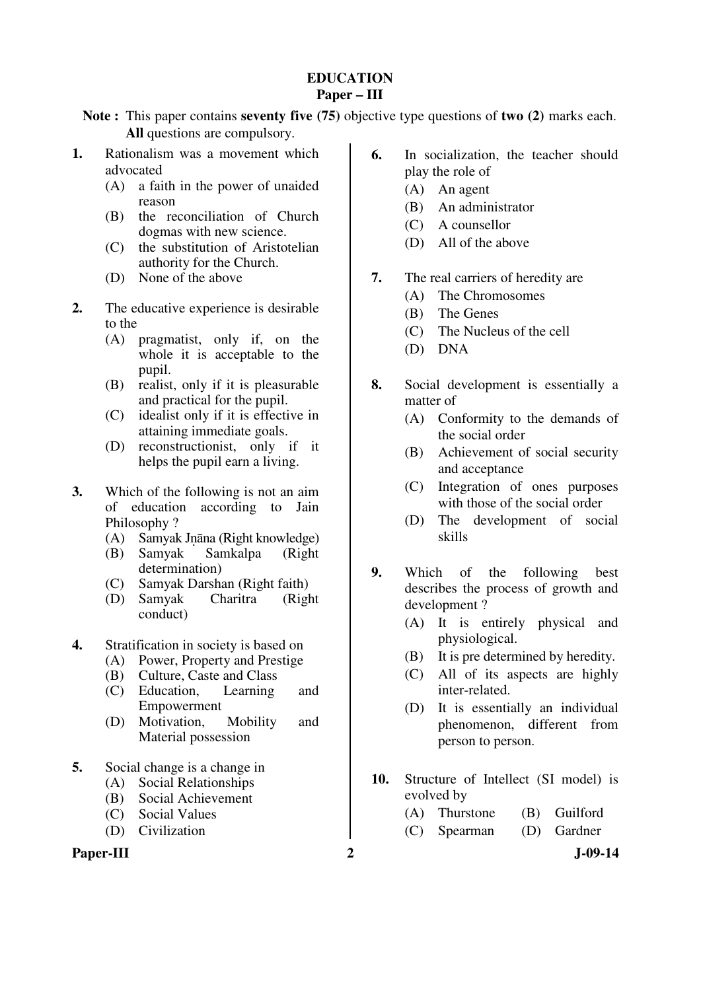## **EDUCATION Paper – III**

**Note :** This paper contains **seventy five (75)** objective type questions of **two (2)** marks each. **All** questions are compulsory.

- **1.** Rationalism was a movement which advocated
	- (A) a faith in the power of unaided reason
	- (B) the reconciliation of Church dogmas with new science.
	- (C) the substitution of Aristotelian authority for the Church.
	- (D) None of the above
- **2.** The educative experience is desirable to the
	- (A) pragmatist, only if, on the whole it is acceptable to the pupil.
	- (B) realist, only if it is pleasurable and practical for the pupil.
	- (C) idealist only if it is effective in attaining immediate goals.
	- (D) reconstructionist, only if it helps the pupil earn a living.
- **3.** Which of the following is not an aim of education according to Jain Philosophy ?
	- (A) Samyak Jnāna (Right knowledge)<br>(B) Samyak Samkalpa (Right)
	- Samkalpa determination)
	- (C) Samyak Darshan (Right faith)
	- (D) Samyak Charitra (Right conduct)
- **4.** Stratification in society is based on
	- (A) Power, Property and Prestige
	- (B) Culture, Caste and Class
	- (C) Education, Learning and Empowerment
	- (D) Motivation, Mobility and Material possession
- **5.** Social change is a change in
	- (A) Social Relationships
	- (B) Social Achievement
	- (C) Social Values
	- (D) Civilization

## Paper-III 2 J-09-14

- **6.** In socialization, the teacher should play the role of
	- (A) An agent
	- (B) An administrator
	- (C) A counsellor
	- (D) All of the above
- **7.** The real carriers of heredity are
	- (A) The Chromosomes
	- (B) The Genes
	- (C) The Nucleus of the cell
	- (D) DNA
- **8.** Social development is essentially a matter of
	- (A) Conformity to the demands of the social order
	- (B) Achievement of social security and acceptance
	- (C) Integration of ones purposes with those of the social order
	- (D) The development of social skills
- **9.** Which of the following best describes the process of growth and development ?
	- (A) It is entirely physical and physiological.
	- (B) It is pre determined by heredity.
	- (C) All of its aspects are highly inter-related.
	- (D) It is essentially an individual phenomenon, different from person to person.
- **10.** Structure of Intellect (SI model) is evolved by
	- (A) Thurstone (B) Guilford
	- (C) Spearman (D) Gardner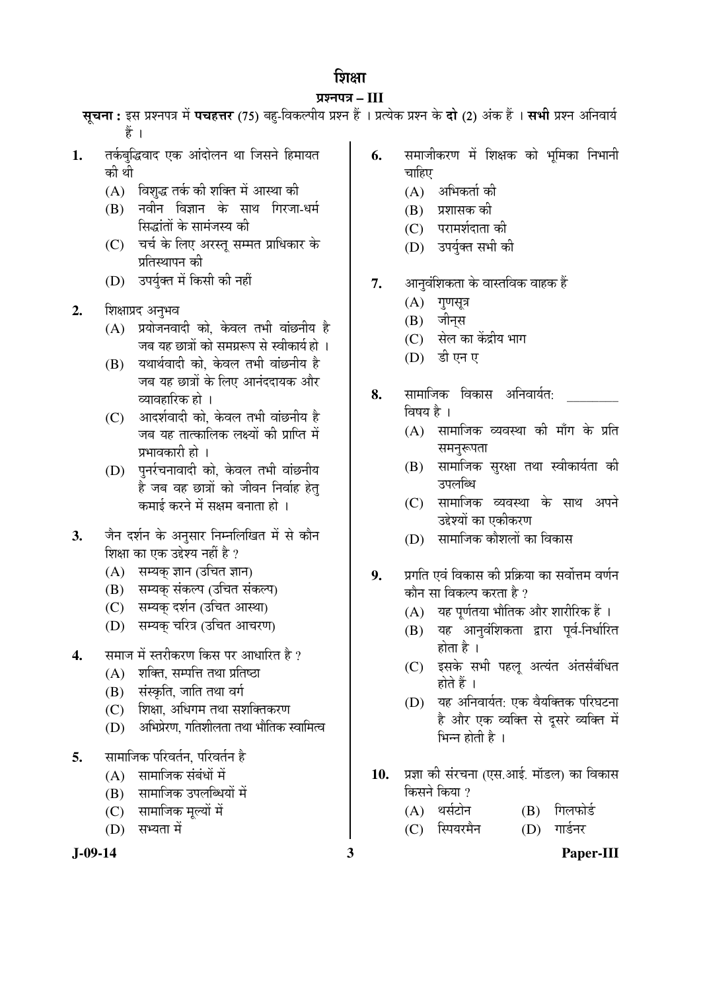## शिक्षा

## ¯ÖÏ¿®Ö¯Ö¡Ö **– III**

सूचना: इस प्रश्नपत्र में पचहत्तर (75) बहु-विकल्पीय प्रश्न हैं । प्रत्येक प्रश्न के **दो (2)** अंक हैं । सभी प्रश्न अनिवार्य हैं ।

- 1. तर्कबुद्धिवाद एक आंदोलन था जिसने हिमायत की थी
	- $(A)$  विशुद्ध तर्क की शक्ति में आस्था की
	- $(B)$  नवीन विज्ञान के साथ गिरजा-धर्म सिद्धांतों के सामंजस्य की
	- (C) चर्च के लिए अरस्तू सम्मत प्राधिकार के प्रतिस्थापन की
	- (D) उपर्यक्त में किसी की नहीं
- 2. शिक्षाप्रद अनुभव
	- $(A)$  प्रयोजनवादी को, केवल तभी वांछनीय है जब यह छात्रों को समग्ररूप से स्वीकार्य हो ।
	- (B) यथार्थवादी को, केवल तभी वांछनीय है जब यह छात्रों के लिए आनंददायक और व्यावहारिक हो ।
	- (C) आदर्शवादी को, केवल तभी वांछनीय है जब यह तात्कालिक लक्ष्यों की प्राप्ति में प्रभावकारी हो ।
	- (D) पुर्नरचनावादी को, केवल तभी वांछनीय है जब वह छात्रों को जीवन निर्वाह हेत् कमाई करने में सक्षम बनाता हो ।
- 3. जैन दर्शन के अनुसार निम्नलिखित में से कौन शिक्षा का एक उद्देश्य नहीं है ?
	- (A) सम्यक् ज्ञान (उचित ज्ञान)
	- (B) सम्यक संकल्प (उचित संकल्प)
	- (C) सम्यक् दर्शन (उचित आस्था)
	- (D) सम्यक चरित्र (उचित आचरण)
- 4. समाज में स्तरीकरण किस पर आधारित है ?
	- $(A)$  शक्ति, सम्पत्ति तथा प्रतिष्ठा
	- (B) संस्कृति, जाति तथा वर्ग
	- (C) शिक्षा. अधिगम तथा सशक्तिकरण
	- $(D)$  । अभिप्रेरण, गतिशीलता तथा भौतिक स्वामित्व
- **5.** सामाजिक परिवर्तन, परिवर्तन है
	- $(A)$  सामाजिक संबंधों में
	- (B) सामाजिक उपलब्धियों में
	- (C) सामाजिक मूल्यों में
	- $(D)$  सभ्यता में



- **6.** समाजीकरण में शिक्षक को भूमिका निभानी चाहिए
	- $(A)$  अभिकर्ता की
	- $(B)$  प्रशासक की
	- (C) परामर्शदाता की
	- (D) उपर्युक्त सभी की
- **7.** आनवंशिकता के वास्तविक वाहक हैं
	- $(A)$  गुणसूत्र
	- $(B)$  जीनस
	- (C) सेल का केंद्रीय भाग
	- (D) इी एन ए
- **8.** सामाजिक विकास अनिवार्यत: विषय $\dot{\vec{z}}$ ।
	- $(A)$  सामाजिक व्यवस्था की माँग के प्रति समनरूपता
	- (B) सामाजिक सुरक्षा तथा स्वीकार्यता की उपलब्धि
	- (C) सामाजिक व्यवस्था के साथ अपने उद्देश्यों का एकीकरण
	- (D) सामाजिक कौशलों का विकास
- **9.** ∑प्रगति एवं विकास की प्रक्रिया का सर्वोत्तम वर्णन कौन सा विकल्प करता है ?
	- $(A)$  यह पर्णतया भौतिक और शारीरिक हैं ।
	- (B) यह आनुवंशिकता द्वारा पूर्व-निर्धारित होता है ।
	- (C) इसके सभी पहलू अत्यंत अंतर्सबंधित होते हैं ।
	- $(D)$  यह अनिवार्यत: एक वैयक्तिक परिघटना है और एक व्यक्ति से दूसरे व्यक्ति में भिन्न होती है $\perp$
- 10. प्रज्ञा की संरचना (एस.आई. मॉडल) का विकास किसने किया ?
	- (A) थर्सटोन (B) गिलफोर्ड
	- (C) स्पियरमैन (D) गार्डनर
- **J-09-14 3 Paper-III**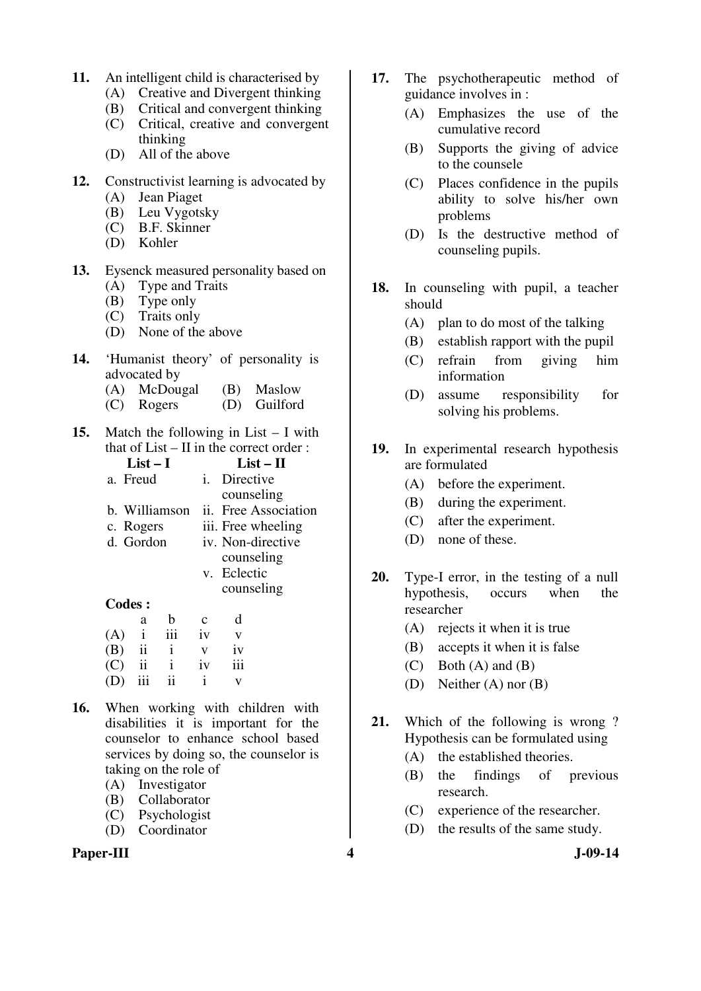- **11.** An intelligent child is characterised by
	- (A) Creative and Divergent thinking
	- (B) Critical and convergent thinking
	- (C) Critical, creative and convergent thinking
	- (D) All of the above
- **12.** Constructivist learning is advocated by
	- (A) Jean Piaget
	- (B) Leu Vygotsky
	- (C) B.F. Skinner
	- (D) Kohler
- **13.** Eysenck measured personality based on
	- (A) Type and Traits
	- (B) Type only
	- (C) Traits only
	- (D) None of the above
- **14.** 'Humanist theory' of personality is advocated by
	- (A) McDougal (B) Maslow
	- (C) Rogers (D) Guilford
- **15.** Match the following in List I with that of  $List - II$  in the correct order :

| List – I      | $List-II$            |
|---------------|----------------------|
| a. Freud      | Directive<br>i.      |
|               | counseling           |
| b. Williamson | ii. Free Association |
| c. Rogers     | iii. Free wheeling   |
| d. Gordon     | iv. Non-directive    |
|               | counseling           |
|               | v. Eclectic          |
|               | counseling           |
| Codes :       |                      |
| h<br>a        | d<br>C               |
|               |                      |

| (A) |                         | 111            | 1V           | v   |
|-----|-------------------------|----------------|--------------|-----|
| (B) | $\overline{\mathbf{u}}$ | $\blacksquare$ | $\mathbf{V}$ | iv  |
| (C) | ii                      |                | iv           | 111 |
| (D) | 111                     | 11             |              |     |

- **16.** When working with children with disabilities it is important for the counselor to enhance school based services by doing so, the counselor is taking on the role of
	- (A) Investigator
	- (B) Collaborator
	- (C) Psychologist
	- (D) Coordinator

## Paper-III **4** J-09-14

- **17.** The psychotherapeutic method of guidance involves in :
	- (A) Emphasizes the use of the cumulative record
	- (B) Supports the giving of advice to the counsele
	- (C) Places confidence in the pupils ability to solve his/her own problems
	- (D) Is the destructive method of counseling pupils.
- **18.** In counseling with pupil, a teacher should
	- (A) plan to do most of the talking
	- (B) establish rapport with the pupil
	- (C) refrain from giving him information
	- (D) assume responsibility for solving his problems.
- **19.** In experimental research hypothesis are formulated
	- (A) before the experiment.
	- (B) during the experiment.
	- (C) after the experiment.
	- (D) none of these.
- **20.** Type-I error, in the testing of a null hypothesis, occurs when the researcher
	- (A) rejects it when it is true
	- (B) accepts it when it is false
	- $(C)$  Both  $(A)$  and  $(B)$
	- (D) Neither (A) nor (B)
- **21.** Which of the following is wrong ? Hypothesis can be formulated using
	- (A) the established theories.
	- (B) the findings of previous research.
	- (C) experience of the researcher.
	- (D) the results of the same study.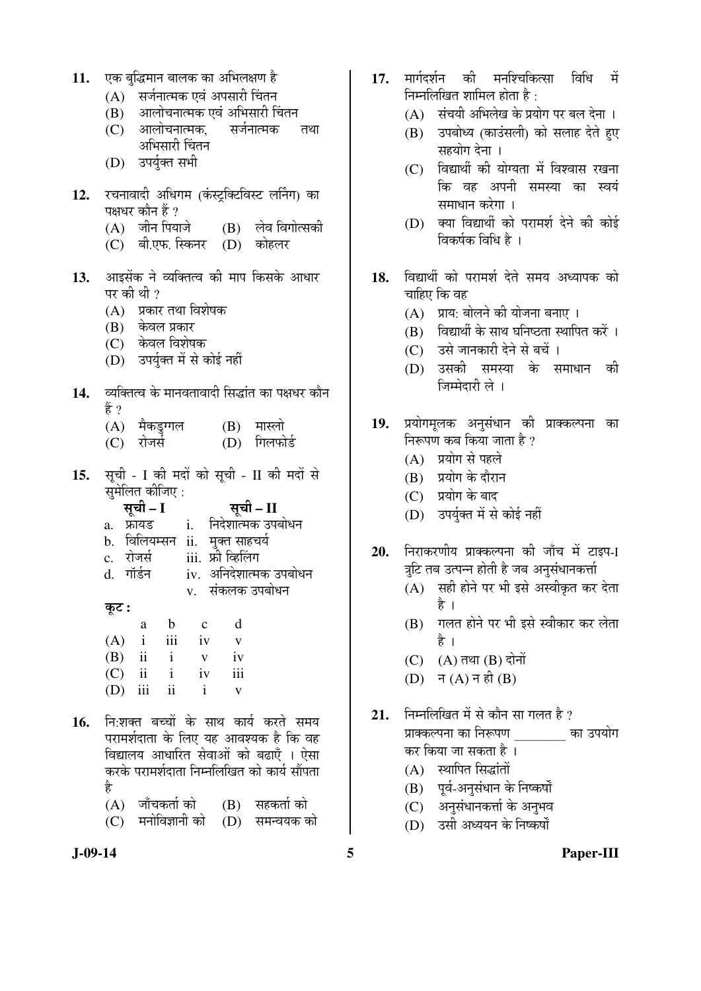| 11. |  | एक बुद्धिमान बालक का अभिलक्षण है |
|-----|--|----------------------------------|
|     |  |                                  |

- (A) सर्जनात्मक एवं अपसारी चिंतन
- $\overline{(\textbf{B})}$  आलोचनात्मक एवं अभिसारी चिंतन $\overline{(\textbf{C})}$  आलोचनात्मक सर्जनात्मक
- (C) आलोचनात्मक, सर्जनात्मक तथा अभिसारी चिंतन
- (D) उपर्यक्त सभी
- 12. रचनावादी अधिगम (कंस्ट्रक्टिविस्ट लर्निंग) का पक्षधर कौन हैं ?<br>(A) जीन पियाजे
	- $(B)$  लेव विगोत्सकी
	- (C) बी.एफ. स्किनर (D) कोहलर
- 13. आइसेंक ने व्यक्तित्व की माप किसके आधार पर की थी ?
	- $(A)$  प्रकार तथा विशेषक
	- (B) केवल प्रकार
	- $(C)$  केवल विशेषक
	- (D) उपर्युक्त में से कोई नहीं
- 1**4.** व्यक्तित्व के मानवतावादी सिद्धांत का पक्षधर कौन हें ?
	- (A) मैकडुग्गल (B) मास्लो<br>(C) रोजर्स (D) गिलफो
	- (D) गिलफोर्ड
- 15. सूची I की मदों को सूची II की मदों से  $\overline{\mathbf{u}}$ ੱ $\overline{\mathbf{u}}$   $\overline{\mathbf{b}}$   $\overline{\mathbf{b}}$   $\overline{\mathbf{c}}$   $\overline{\mathbf{b}}$   $\overline{\mathbf{b}}$   $\overline{\mathbf{c}}$   $\overline{\mathbf{c}}$   $\overline{\mathbf{b}}$

|                | $\mathbf{u}$ and $\mathbf{u}$ and $\mathbf{u}$ .<br>सूची – I |              | सूची – II              |
|----------------|--------------------------------------------------------------|--------------|------------------------|
| a <sub>z</sub> | फ्रायड                                                       | $\mathbf{i}$ | निदेशात्मक उपबोधन      |
|                | b. विलियम्सन                                                 |              | ii. मुक्त साहचर्य      |
|                | c. रोजर्स                                                    |              | iii. फ्री व्हिलिंग     |
|                | d. गॉर्डन                                                    |              | iv. अनिदेशात्मक उपबोधन |
|                |                                                              |              | v. संकलक उपबोधन        |
| कुट :          |                                                              |              |                        |

| $40^\circ$ |                      |         |  |
|------------|----------------------|---------|--|
|            |                      | a b c d |  |
| $\sim$     | $\ddot{\phantom{0}}$ |         |  |

|  |              | $(A)$ i iii | iv           | $\mathbf{V}$            |
|--|--------------|-------------|--------------|-------------------------|
|  | $(B)$ ii i   |             | $\mathbf{V}$ | iv                      |
|  |              | $(C)$ ii i  | iv           | iii                     |
|  | $(D)$ iii ii |             | $\mathbf{i}$ | $\overline{\mathbf{V}}$ |
|  |              |             |              |                         |

- 1**6.** निःशक्त बच्चों के साथ कार्य करते समय परामर्शदाता के लिए यह आवश्यक है कि वह विद्यालय आधारित सेवाओं को बढाएँ । ऐसा करके परामर्शदाता निम्नलिखित को कार्य सौंपता है
	- (A) जाँचकर्ता को (B) सहकर्ता को<br>(C) मनोविज्ञानी को (D) समन्वयक को  $(C)$  मनोविज्ञानी को
- 
- 17. मार्गदर्शन की मनश्चिकित्सा विधि में निम्नलिखित शामिल होता है $\cdot$ 
	- $(A)$  संचयी अभिलेख के प्रयोग पर बल देना ।
	- (B) उपबोध्य (काउंसली) को सलाह देते हुए सहयोग देना ।
	- $(C)$  विद्यार्थी की योग्यता में विश्वास रखना कि वह अपनी समस्या का स्वय<mark>ं</mark> समाधान करेगा ।
	- $(D)$  क्या विद्यार्थी को परामर्श देने की कोई <u>विकर्षक विधि है</u> ।
- 18. विद्यार्थी को परामर्श देते समय अध्यापक को चाहिए कि वह
	- $(A)$  ग्राय: बोलने की योजना बनाए ।
	- (B) विद्यार्थी के साथ घनिष्ठता स्थापित करें ।
	- (C) उसे जानकारी देने से बचें ।
	- (D) उसकी समस्या के समाधान की जिम्मेदारी ले**ं।**
- 19. प्रयोगमृलक अनुसंधान की प्राक्कल्पना का निरूपण कब किया जाता है ?
	- $(A)$  प्रयोग से पहले
	- (B) प्रयोग के दौरान
	- (C) प्रयोग के बाद
	- (D) उपर्युक्त में से कोई नहीं
- 20. निराकरणीय प्राक्कल्पना की जाँच में टाइप-I न्नुटि तब उत्पन्न होती है जब अनुसंधानकर्त्ता
	- $(A)$  सही होने पर भी इसे अस्वीकृत कर देता है ।
	- (B) गलत होने पर भी इसे स्वीकार कर लेता है ।
	- $(C)$   $(A)$  तथा  $(B)$  दोनों
	- $(D)$  न  $(A)$  न ही  $(B)$
- **21.** निम्नलिखित में से कौन सा गलत है ? प्राक्कल्पना का निरूपण का उपयोग कर किया जा सकता है ।
	- $(A)$  स्थापित सिद्धांतों
	- (B) पूर्व-अनुसंधान के निष्कर्षों
	- (C) अनुसंधानकर्त्ता के अनुभव
	- (D) उसी अध्ययन के निष्कर्षों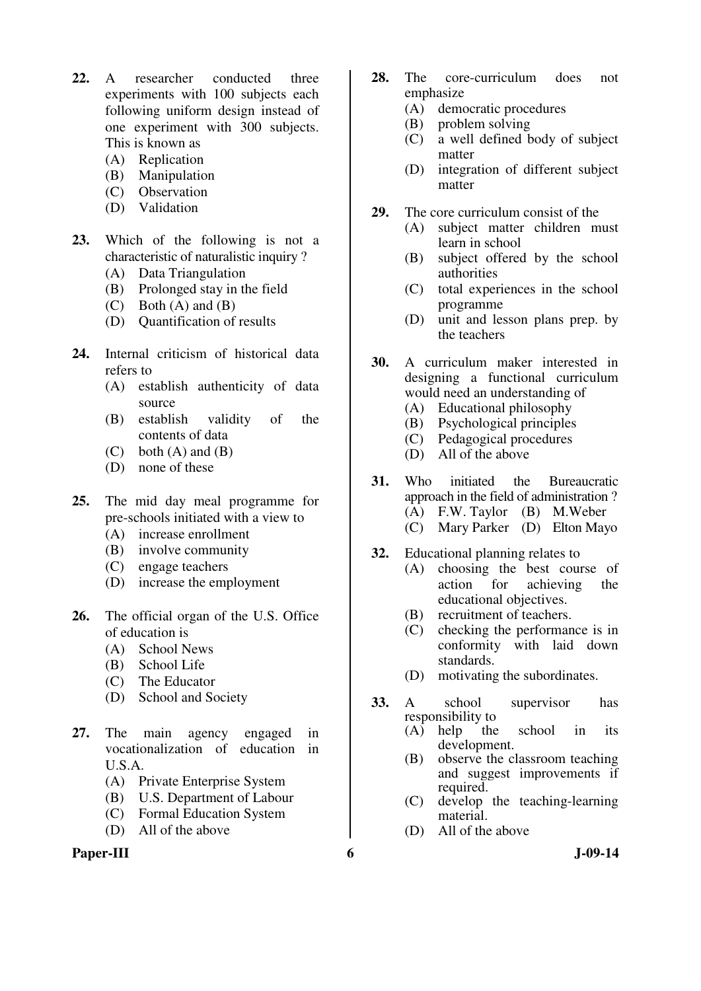- **22.** A researcher conducted three experiments with 100 subjects each following uniform design instead of one experiment with 300 subjects. This is known as
	- (A) Replication
	- (B) Manipulation
	- (C) Observation
	- (D) Validation
- **23.** Which of the following is not a characteristic of naturalistic inquiry ?
	- (A) Data Triangulation
	- (B) Prolonged stay in the field
	- $(C)$  Both  $(A)$  and  $(B)$
	- (D) Quantification of results
- **24.** Internal criticism of historical data refers to
	- (A) establish authenticity of data source
	- (B) establish validity of the contents of data
	- $(C)$  both  $(A)$  and  $(B)$
	- (D) none of these
- **25.** The mid day meal programme for pre-schools initiated with a view to
	- (A) increase enrollment
	- (B) involve community
	- (C) engage teachers
	- (D) increase the employment
- **26.** The official organ of the U.S. Office of education is
	- (A) School News
	- (B) School Life
	- (C) The Educator
	- (D) School and Society
- **27.** The main agency engaged in vocationalization of education in U.S.A.
	- (A) Private Enterprise System
	- (B) U.S. Department of Labour
	- (C) Formal Education System
	- (D) All of the above

#### Paper-III 6 J-09-14

- **28.** The core-curriculum does not emphasize
	- (A) democratic procedures
	- (B) problem solving
	- (C) a well defined body of subject matter
	- (D) integration of different subject matter
- **29.** The core curriculum consist of the
	- (A) subject matter children must learn in school
	- (B) subject offered by the school authorities
	- (C) total experiences in the school programme
	- (D) unit and lesson plans prep. by the teachers
- **30.** A curriculum maker interested in designing a functional curriculum would need an understanding of
	- (A) Educational philosophy
	- (B) Psychological principles
	- (C) Pedagogical procedures
	- (D) All of the above
- **31.** Who initiated the Bureaucratic approach in the field of administration ? (A) F.W. Taylor (B) M.Weber
	- (C) Mary Parker (D) Elton Mayo
- **32.** Educational planning relates to
	- (A) choosing the best course of action for achieving the educational objectives.
	- (B) recruitment of teachers.
	- (C) checking the performance is in conformity with laid down standards.
	- (D) motivating the subordinates.
- **33.** A school supervisor has responsibility to<br> $(A)$  help the
	- school in its development.
	- (B) observe the classroom teaching and suggest improvements if required.
	- (C) develop the teaching-learning material.
	- (D) All of the above
-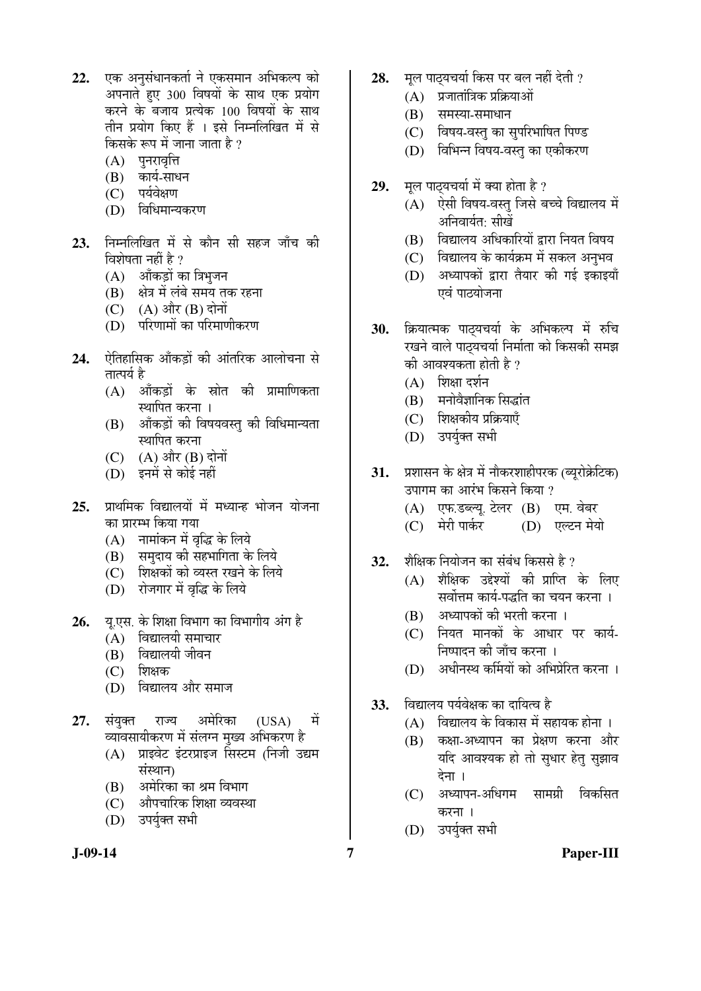- 22. **एक अनसंधानकर्ता ने एकसमान अभिकल्प** को अपनाते हुए 300 विषयों के साथ एक प्रयोग करने के बजाय प्रत्येक 100 विषयों के साथ तीन प्रयोग किए हैं । इसे निम्नलिखित में से किसके रूप में जाना जाता है ?
	- $(A)$  पुनरावृत्ति
	- (B) कार्य-साधन
	- $(C)$  पर्यवेक्षण
	- (D) विधिमान्यकरण
- 23. निम्नलिखित में से कौन सी सहज जाँच की विशेषता नहीं है ?
	- (A) औंकड़ों का त्रिभुजन
	- (B) क्षेत्र में लंबे समय तक रहना
	- $(C)$   $(A)$  और  $(B)$  दोनों
	- (D) परिणामों का परिमाणीकरण
- 24. <sup>þ</sup>तिहासिक आँकडों की आंतरिक आलोचना से तात्पर्य है
	- $(A)$  आँकड़ों के स्रोत की प्रामाणिकता स्थापित करना ।
	- (B) ऑकडों की विषयवस्त की विधिमान्यता स्थापित करना
	- $(C)$   $(A)$  और  $(B)$  दोनों
	- (D) इनमें से कोई नहीं
- 25. प्राथमिक विद्यालयों में मध्यान्ह भोजन योजना का प्रारम्भ किया गया
	- (A) नामांकन में वृद्धि के लिये
	- (B) समुदाय की सहभागिता के लिये
	- $(C)$  शिक्षकों को व्यस्त रखने के लिये
	- (D) रोजगार में वृद्धि के लिये
- 26. य.एस. के शिक्षा विभाग का विभागीय अंग है
	- $(A)$  विद्यालयी समाचार
	- $(B)$  विद्यालयी जीवन
	- $(C)$  शिक्षक
	- (D) विद्यालय और समाज
- **27.** संयक्त राज्य अमेरिका (USA) में व्यावसायीकरण में संलग्न मुख्य अभिकरण है
	- (A) प्राइवेट इंटरप्राइज सिस्टम (निजी उद्यम संस्थान)
	- (B) अमेरिका का श्रम विभाग
	- (C) औपचारिक शिक्षा व्यवस्था
	- (D) उपर्युक्त सभी
- 
- 28. **मूल पाठ्यचर्या किस पर बल नहीं देती** ?
	- $(A)$  प्रजातांत्रिक प्रक्रियाओं
	- $(B)$  समस्या-समाधान
	- (C) विषय-वस्तु का सुपरिभाषित पिण्ड
	- (D) विभिन्न विषय-वस्तु का एकीकरण
- **29.** मूल पाट्यचर्या में क्या होता है ?
	- $(A)$  ऐसी विषय-वस्तु जिसे बच्चे विद्यालय में अनिवार्यत<sup>.</sup> सीखें
	- $(B)$  विद्यालय अधिकारियों द्रारा नियत विषय
	- (C) विद्यालय के कार्यक्रम में सकल अनुभव
	- (D) अध्यापकों द्वारा तैयार की गई इकाइयाँ एवं पाठयोजना
- 30. क्रियात्मक पाट्यचर्या के अभिकल्प में रुचि रखने वाले पाठयचर्या निर्माता को किसकी समझ की आवश्यकता होती है ?
	- $(A)$  शिक्षा दर्शन
	- (B) मनोवैज्ञानिक सिद्धांत
	- $(C)$  शिक्षकीय प्रक्रियाएँ
	- (D) उपर्यक्त सभी
- 31. प्रशासन के क्षेत्र में नौकरशाहीपरक (ब्युरोक्रेटिक) उपागम का आरंभ किसने किया ?
	- (A) एफ.डब्ल्य. टेलर (B) एम. वेबर
	- (C) मेरी पार्कर (D) एल्टन मेयो
- 32. <sup>9</sup> शैक्षिक नियोजन का संबंध किससे है ?
	- $(A)$  शैक्षिक उद्देश्यों की प्राप्ति के लिए सर्वोत्तम कार्य-पद्धति का चयन करना ।
	- (B) अध्यापकों की भरती करना ।
	- (C) नियत मानकों के आधार पर कार्य-निष्पादन की जाँच करना ।
	- (D) अधीनस्थ कर्मियों को अभिप्रेरित करना ।
- 33. विद्यालय पर्यवेक्षक का दायित्व है
	- $(A)$  विद्यालय के विकास में सहायक होना ।
	- $(B)$  कक्षा-अध्यापन का प्रेक्षण करना और यदि आवश्यक हो तो सुधार हेत् सुझाव देना ।
	- (C) अध्यापन-अधिगम सामग्री विकसित करना ।
	- (D) उपर्युक्त सभी
- 

**J-09-14 7 Paper-III**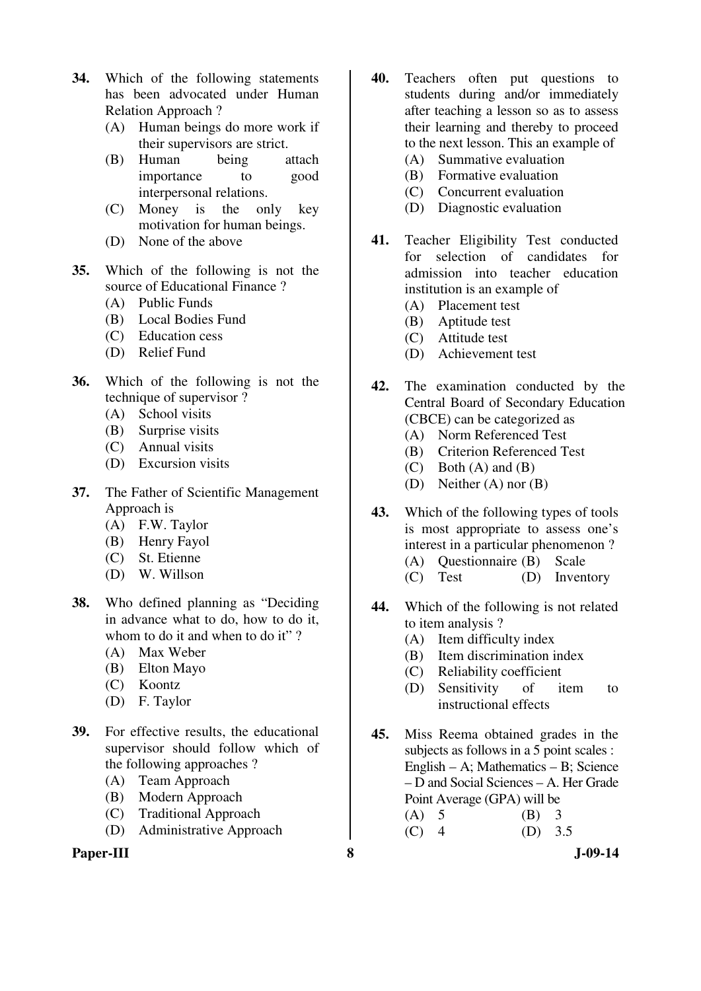- **34.** Which of the following statements has been advocated under Human Relation Approach ?
	- (A) Human beings do more work if their supervisors are strict.
	- (B) Human being attach importance to good interpersonal relations.
	- (C) Money is the only key motivation for human beings.
	- (D) None of the above
- **35.** Which of the following is not the source of Educational Finance ?
	- (A) Public Funds
	- (B) Local Bodies Fund
	- (C) Education cess
	- (D) Relief Fund
- **36.** Which of the following is not the technique of supervisor ?
	- (A) School visits
	- (B) Surprise visits
	- (C) Annual visits
	- (D) Excursion visits
- **37.** The Father of Scientific Management Approach is
	- (A) F.W. Taylor
	- (B) Henry Fayol
	- (C) St. Etienne
	- (D) W. Willson
- **38.** Who defined planning as "Deciding in advance what to do, how to do it, whom to do it and when to do it"?
	- (A) Max Weber
	- (B) Elton Mayo
	- (C) Koontz
	- (D) F. Taylor
- **39.** For effective results, the educational supervisor should follow which of the following approaches ?
	- (A) Team Approach
	- (B) Modern Approach
	- (C) Traditional Approach
	- (D) Administrative Approach

## **Paper-III 8 J-09-14**

- **40.** Teachers often put questions to students during and/or immediately after teaching a lesson so as to assess their learning and thereby to proceed to the next lesson. This an example of
	- (A) Summative evaluation (B) Formative evaluation
	-
	- (C) Concurrent evaluation (D) Diagnostic evaluation
- **41.** Teacher Eligibility Test conducted
- for selection of candidates for admission into teacher education institution is an example of
	- (A) Placement test
	- (B) Aptitude test
	- (C) Attitude test
	- (D) Achievement test
- **42.** The examination conducted by the Central Board of Secondary Education (CBCE) can be categorized as
	- (A) Norm Referenced Test
	- (B) Criterion Referenced Test
	- $(C)$  Both  $(A)$  and  $(B)$
	- (D) Neither (A) nor (B)
- **43.** Which of the following types of tools is most appropriate to assess one's interest in a particular phenomenon ?
	- (A) Questionnaire (B) Scale
	- (C) Test (D) Inventory
- **44.** Which of the following is not related to item analysis ?
	- (A) Item difficulty index
	- (B) Item discrimination index
	- (C) Reliability coefficient
	- (D) Sensitivity of item to instructional effects
- **45.** Miss Reema obtained grades in the subjects as follows in a 5 point scales : English – A; Mathematics – B; Science – D and Social Sciences – A. Her Grade Point Average (GPA) will be
	- (A) 5 (B) 3  $(C)$  4  $(D)$  3.5
		-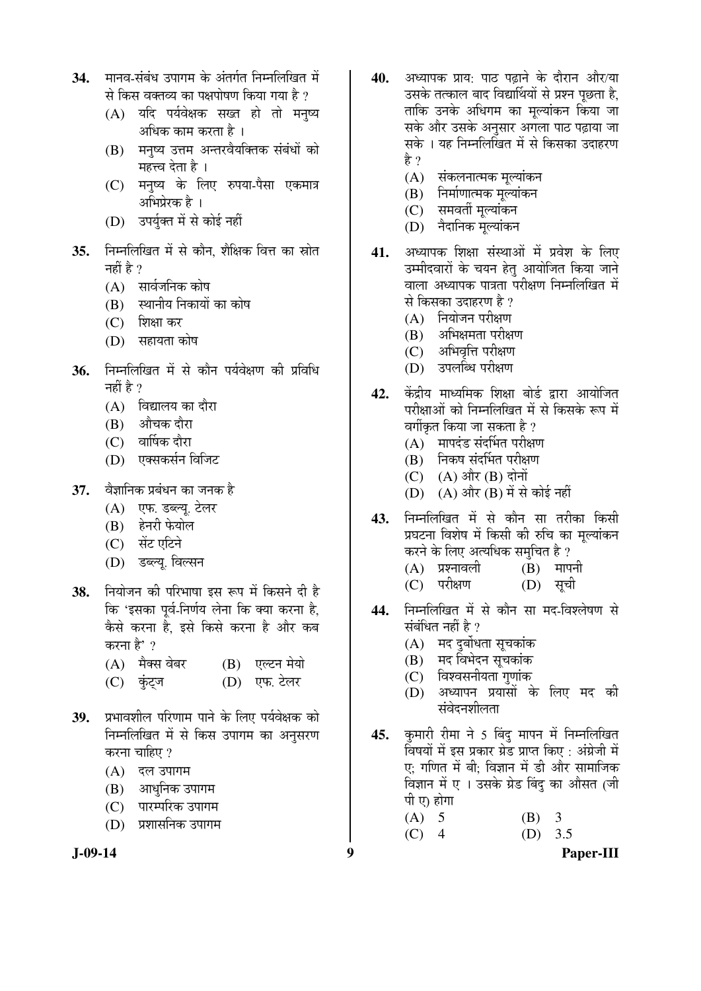- 34. मानव-संबंध उपागम के अंतर्गत निम्नलिखित में से किस वक्तव्य का पक्षपोषण किया गया है ?
	- (A) यदि पर्यवेक्षक सख्त हो तो मनुष्य अधिक काम करता है ।
	- (B) ग्मनष्य उत्तम अन्तरवैयक्तिक संबंधों को महत्त्व देता है ।
	- (C) मनुष्य के लिए रुपया-पैसा एकमात्र अभिप्रेरक है ।
	- (D) उपर्युक्त में से कोई नहीं
- 35. ਜਿਸਗਿਰਿਕਰ में से कौन, शैक्षिक वित्त का स्रोत नहीं है $\,$  ?
	- $(A)$  सार्वजनिक कोष
	- (B) स्थानीय निकायों का कोष
	- (C) शिक्षा कर
	- (D) सहायता कोष
- 36. निम्नलिखित में से कौन पर्यवेक्षण की प्रविधि नहीं है $\gamma$ 
	- $(A)$  विद्यालय का दौरा
	- (B) औचक दौरा
	- (C) वार्षिक दौरा
	- (D) एक्सकर्सन विजिट
- **37.** वैज्ञानिक प्रबंधन का जनक है
	- (A) एफ. डब्ल्यू. टेलर
	- $(B)$  हेनरी फेयोल
	- (C) सेंट एटिने
	- (D) डब्ल्यू. विल्सन
- 38. Frador की परिभाषा इस रूप में किसने दी है कि 'इसका पूर्व-निर्णय लेना कि क्या करना है. कैसे करना है. इसे किसे करना है और कब करना है' ?

| $(A)$ मैक्स वेबर | (B) एल्टन मेयो |
|------------------|----------------|
| $(C)$ कुंट्ज     | (D) एफ. टेलर   |

- 39. प्रभावशील परिणाम पाने के लिए पर्यवेक्षक को निम्नलिखित में से किस उपागम का अनुसरण करना चाहिए ?
	- (A) दल उपागम
	- (B) आधुनिक उपागम
	- (C) पारम्परिक उपागम
	- (D) प्रशासनिक उपागम
- 
- **40.** अध्यापक प्राय: पाठ पढाने के दौरान और/या उसके तत्काल बाद विद्यार्थियों से प्रश्न पछता है. ताकि उनके अधिगम का मुल्यांकन किया जा सके और उसके अनसार अगला पाठ पढाया जा सके । यह निम्नलिखित में से किसका उदाहरण है ?
	- $(A)$  संकलनात्मक मल्यांकन
	- (B) निर्माणात्मक मुल्यांकन
	- (C) समवर्ती मुल्यांकन
	- $(D)$  नैदानिक मल्यांकन
- 41. अध्यापक शिक्षा संस्थाओं में प्रवेश के लिए उम्मीदवारों के चयन हेत् आयोजित किया जाने वाला अध्यापक पात्रता परीक्षण निम्नलिखित में से किसका उदाहरण है ?
	- $(A)$  नियोजन परीक्षण
	- $(B)$  अभिक्षमता परीक्षण
	- (C) अभिवृत्ति परीक्षण
	- (D) उपलब्धि परीक्षण
- 42. केंद्रीय माध्यमिक शिक्षा बोर्ड द्रारा आयोजित परीक्षाओं को निम्नलिखित में से किसके रूप में वर्गीकृत किया जा सकता है ?
	- $(A)$  मापदंड संदर्भित परीक्षण
	- (B) निकष संदर्भित परीक्षण
	- $(C)$   $(A)$  और  $(B)$  दोनों
	- $(D)$   $(A)$  और  $(B)$  में से कोई नहीं
- 43. निम्नलिखित में से कौन सा तरीका किसी प्रघटना विशेष में किसी की रुचि का मल्यांकन करने के लिए अत्यधिक समचित है ?
	- $(A)$  प्रश्नावली  $(B)$  मापनी
	- (C) परीक्षण (D) सूची
- 44. निम्नलिखित में से कौन सा मद-विश्लेषण से संबंधित नहीं है ?
	- $(A)$  मद दुर्बोधता सुचकांक
	- (B) मद विभेदन सूचकांक
	- $(C)$  विश्वसनीयता गणांक
	- $(D)$  अध्यापन प्रयासों के लिए मद की संवेदनशीलता
- 45. कुमारी रीमा ने 5 बिंदु मापन में निम्नलिखित विषयों में इस प्रकार ग्रेड प्राप्त किए : अंग्रेजी में ए: गणित में बी: विज्ञान में डी और सामाजिक विज्ञान में ए । उसके ग्रेड बिंद का औसत (जी पी ए) होगा
	- (A) 5 (B) 3
	- $(C)$  4  $(D)$  3.5

**J-09-14 9 Paper-III**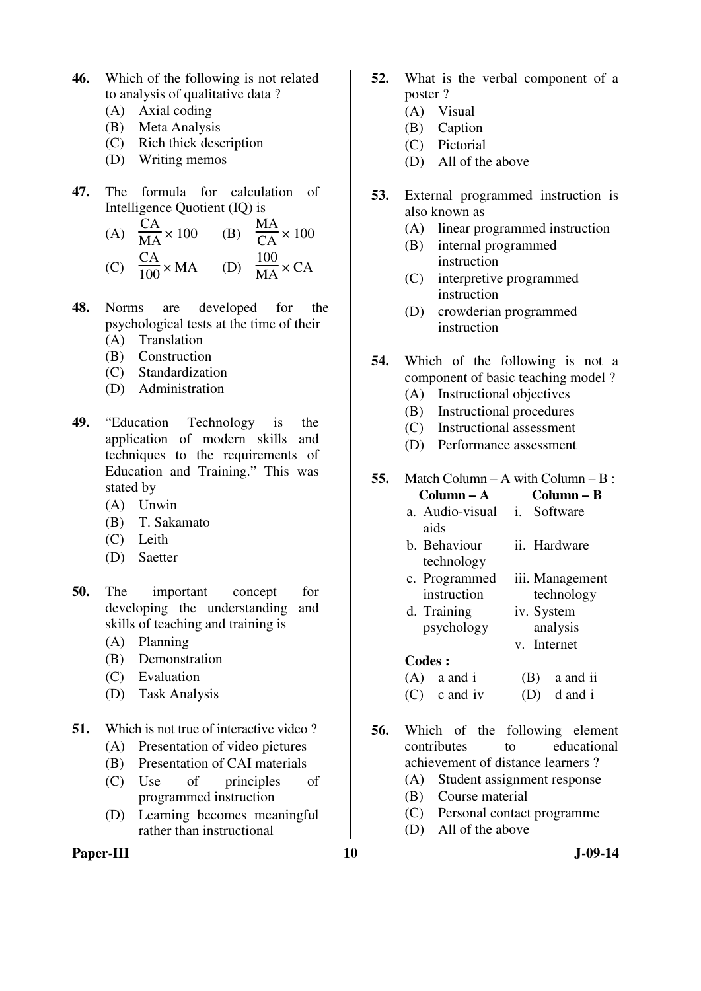- **46.** Which of the following is not related to analysis of qualitative data ?
	- (A) Axial coding
	- (B) Meta Analysis
	- (C) Rich thick description
	- (D) Writing memos
- **47.** The formula for calculation of Intelligence Quotient (IQ) is

(A) 
$$
\frac{CA}{MA} \times 100
$$
 (B)  $\frac{MA}{CA} \times 100$   
(C)  $\frac{CA}{100} \times MA$  (D)  $\frac{100}{MA} \times CA$ 

- **48.** Norms are developed for the psychological tests at the time of their
	- (A) Translation
	- (B) Construction
	- (C) Standardization
	- (D) Administration
- **49.** "Education Technology is the application of modern skills and techniques to the requirements of Education and Training." This was stated by
	- (A) Unwin
	- (B) T. Sakamato
	- (C) Leith
	- (D) Saetter
- **50.** The important concept for developing the understanding and skills of teaching and training is
	- (A) Planning
	- (B) Demonstration
	- (C) Evaluation
	- (D) Task Analysis
- **51.** Which is not true of interactive video?
	- (A) Presentation of video pictures
	- (B) Presentation of CAI materials
	- (C) Use of principles of programmed instruction
	- (D) Learning becomes meaningful rather than instructional

#### Paper-III **10** J-09-14

- **52.** What is the verbal component of a poster ?
	- (A) Visual
	- (B) Caption
	- (C) Pictorial
	- (D) All of the above
- **53.** External programmed instruction is also known as
	- (A) linear programmed instruction
	- (B) internal programmed instruction
	- (C) interpretive programmed instruction
	- (D) crowderian programmed instruction
- **54.** Which of the following is not a component of basic teaching model ?
	- (A) Instructional objectives
	- (B) Instructional procedures
	- (C) Instructional assessment
	- (D) Performance assessment

### **55.** Match Column – A with Column – B :

| $Column - A$               | Column – B      |
|----------------------------|-----------------|
| a. Audio-visual <i>i</i> . | Software        |
| aids                       |                 |
| b. Behaviour               | ii. Hardware    |
| technology                 |                 |
| c. Programmed              | iii. Management |
| instruction                | technology      |
| d. Training                | iv. System      |
| psychology                 | analysis        |
|                            | v. Internet     |
| Codes :                    |                 |
| $(A)$ a and i              | a and ii        |

- $(C)$  c and iv  $(D)$  d and i
- **56.** Which of the following element contributes to educational achievement of distance learners ?
	- (A) Student assignment response
	- (B) Course material
	- (C) Personal contact programme
	- (D) All of the above
-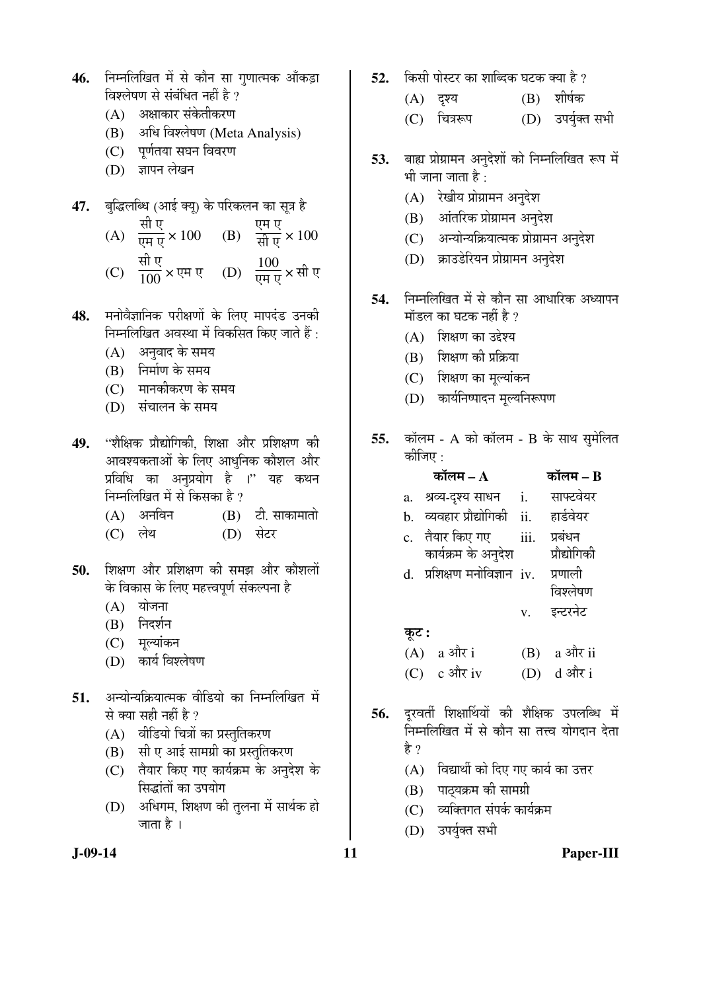- 46. निम्नलिखित में से कौन सा गुणात्मक आँकड़ा विश्लेषण से संबंधित नहीं है ?
	- (A) । अक्षाकार संकेतीकरण
	- (B) अधि विश्लेषण (Meta Analysis)
	- (C) पूर्णतया सघन विवरण
	- (D) ज्ञापन लेखन
- 47. बुद्धिलब्धि (आई क्यू) के परिकलन का सूत्र है
- (A) सी ए  $\overline{v\mu v} \times 100$  (B) एम ए ÃÖß ‹ × 100
- (C) सी ए  $\frac{\text{d} \bar{\mathbf{u}} \cdot \mathbf{v}}{100}$   $\times$  एम ए (D)  $\frac{100}{\overline{\text{U}} \cdot \text{F}} \times \overline{\text{H}}$  ए
- 48. मनोवैज्ञानिक परीक्षणों के लिए मापदंड उनकी निम्नलिखित अवस्था में विकसित किए जाते हैं :
	- (A) अनुवाद के समय
	- $(B)$  निर्माण के समय
	- (C) मानकीकरण के समय
	- (D) संचालन के समय
- 49. "शैक्षिक प्रौद्योगिकी, शिक्षा और प्रशिक्षण की आवश्यकताओं के लिए आधनिक कौशल और प्रविधि का अनुप्रयोग है ।'' यह कथन निम्नलिखित में से किसका है ?
	- $(A)$  अनविन  $(B)$  टी. साकामातो
	- (C) लेथ (D) सेटर
- 50. शिक्षण और प्रशिक्षण की समझ और कौशलों के विकास के लिए महत्त्वपूर्ण संकल्पना है
	- $(A)$  योजना
	- (B) निदर्शन
	- (C) मुल्यांकन
	- (D) कार्य विश्लेषण
- 51. अन्योन्यक्रियात्मक वीडियो का निम्नलिखित में से क्या सही नहीं है ?
	- (A) वीडियो चित्रों का प्रस्तुतिकरण
	- $(B)$  सी ए आई सामग्री का प्रस्तुतिकरण
	- (C) तैयार किए गए कार्यक्रम के अनुदेश के सिद्धांतों का उपयोग
	- (D) अधिगम, शिक्षण की तुलना में सार्थक हो जाता है ।
- 52. किसी पोस्टर का शाब्दिक घटक क्या है ?
	- $(A)$  दृश्य  $(B)$  शीर्षक
	- (C) चित्ररूप (D) उपर्युक्त सभी
- 53. बाह्य प्रोग्रामन अनुदेशों को निम्नलिखित रूप में भी जाना जाता है :
	- (A) रेखीय प्रोग्रामन अनुदेश
	- (B) आंतरिक प्रोग्रामन अनुदेश
	- (C) अन्योन्यक्रियात्मक प्रोग्रामन अनुदेश
	- (D) क्राउडेरियन प्रोग्रामन अनुदेश
- **54.** निम्नलिखित में से कौन सा आधारिक अध्यापन मॉडल का घटक नहीं है ?
	- $(A)$  शिक्षण का उद्देश्य
	- $(B)$  शिक्षण की प्रक्रिया
	- (C) शिक्षण का मूल्यांकन
	- (D) कार्यनिष्पादन मुल्यनिरूपण
- **55.** कॉलम A को कॉलम B के साथ सुमेलित कीजिए :

|       | कॉलम $-A$                   |                             | कॉलम – B      |
|-------|-----------------------------|-----------------------------|---------------|
|       | a. श्रव्य-दृश्य साधन        | $\mathbf{i}$ .              | साफ्टवेयर     |
|       | b. व्यवहार प्रौद्योगिकी ii. |                             | हार्डवेयर     |
|       | c. तैयार किए गए             | $\overline{\mathbf{iii}}$ . | प्रबंधन       |
|       | कार्यक्रम के अनुदेश         |                             | प्रौद्योगिकी  |
|       | d. प्रशिक्षण मनोविज्ञान iv. |                             | प्रणाली       |
|       |                             |                             | विश्लेषण      |
|       |                             | $V_{-}$                     | इन्टरनेट      |
| कूट : |                             |                             |               |
|       | $(A)$ a और i                |                             | $(B)$ a और ii |
|       | $(C)$ c और iv               |                             | (D) d और i    |

- 56. दुरवर्ती शिक्षार्थियों की शैक्षिक उपलब्धि में <u>निम्नलिखित में से कौन सा तत्त्व योगदान देता</u> हे ?
	- $(A)$  विद्यार्थी को दिए गए कार्य का उत्तर
	- (B) पाठ्यक्रम की सामग्री
	- (C) व्यक्तिगत संपर्क कार्यक्रम
	- (D) उपर्युक्त सभी

**J-09-14 11 Paper-III**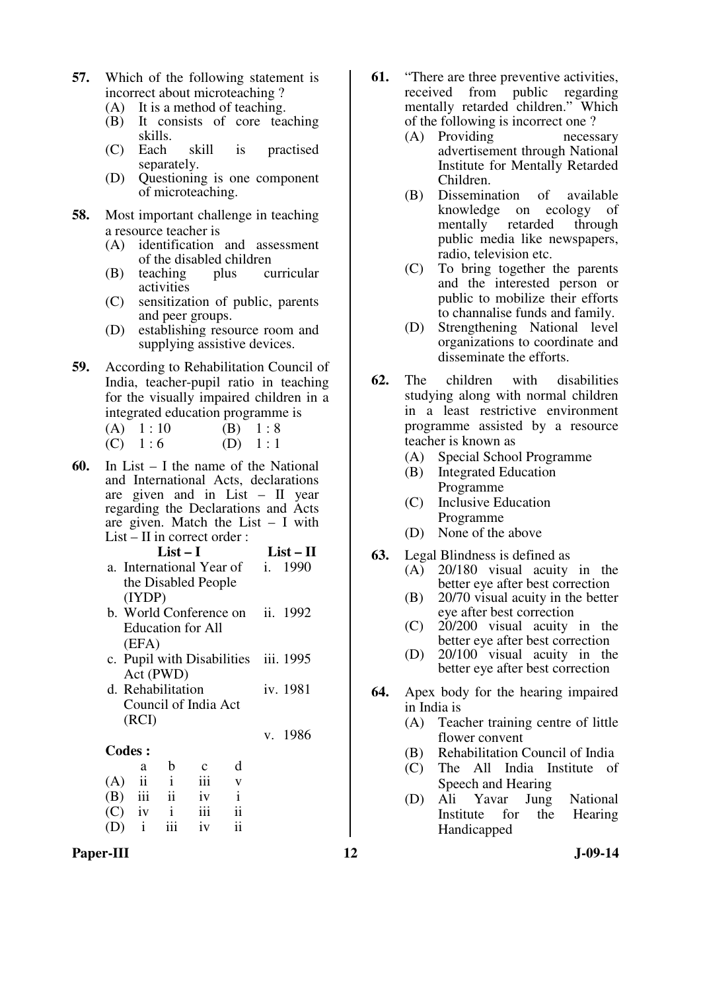- **57.** Which of the following statement is incorrect about microteaching ?
	- (A) It is a method of teaching.
	- (B) It consists of core teaching skills.
	- (C) Each skill is practised separately.
	- (D) Questioning is one component of microteaching.
- **58.** Most important challenge in teaching a resource teacher is<br>(A) identification
	- identification and assessment of the disabled children
	- (B) teaching plus curricular activities
	- (C) sensitization of public, parents and peer groups.
	- (D) establishing resource room and supplying assistive devices.
- **59.** According to Rehabilitation Council of India, teacher-pupil ratio in teaching for the visually impaired children in a integrated education programme is
	- (A)  $1:10$  (B)  $1:8$ (C)  $1:6$  (D)  $1:1$
- **60.** In List I the name of the National and International Acts, declarations are given and in List – II year regarding the Declarations and Acts are given. Match the List – I with List  $-$  II in correct order :

| List $-1$                        | $List - II$ |
|----------------------------------|-------------|
| a. International Year of i. 1990 |             |
| the Disabled People              |             |
| (IVDP)                           |             |

- b. World Conference on Education for All (EFA) ii. 1992
- c. Pupil with Disabilities Act (PWD) iii. 1995
- d. Rehabilitation Council of India Act (RCI) iv. 1981

v. 1986

#### **Codes :**

|     | a                       | b                       | $\mathbf{c}$ | d  |
|-----|-------------------------|-------------------------|--------------|----|
| (A) | $\overline{\mathbf{u}}$ |                         | iii          | v  |
| (B) | iii                     | $\overline{\mathbf{u}}$ | iv           | i  |
| (C) | iv                      | $\mathbf{i}$            | iii          | ii |
| (D) | $\mathbf{i}$            | iii                     | iv           | ii |

Paper-III **12** J-09-14

- **61.** "There are three preventive activities, received from public regarding mentally retarded children." Which of the following is incorrect one ?
	- (A) Providing necessary advertisement through National Institute for Mentally Retarded Children.
	- (B) Dissemination of available knowledge on ecology of mentally retarded through public media like newspapers, radio, television etc.
	- (C) To bring together the parents and the interested person or public to mobilize their efforts to channalise funds and family.
	- (D) Strengthening National level organizations to coordinate and disseminate the efforts.
- **62.** The children with disabilities studying along with normal children in a least restrictive environment programme assisted by a resource teacher is known as
	- (A) Special School Programme
	- (B) Integrated Education Programme
	- (C) Inclusive Education Programme
	- (D) None of the above
- **63.** Legal Blindness is defined as
	- (A) 20/180 visual acuity in the better eye after best correction
	- (B) 20/70 visual acuity in the better eye after best correction
	- (C) 20/200 visual acuity in the better eye after best correction
	- (D) 20/100 visual acuity in the better eye after best correction
- **64.** Apex body for the hearing impaired in India is
	- (A) Teacher training centre of little flower convent
	- (B) Rehabilitation Council of India
	- (C) The All India Institute of Speech and Hearing
	- (D) Ali Yavar Jung National Institute for the Hearing Handicapped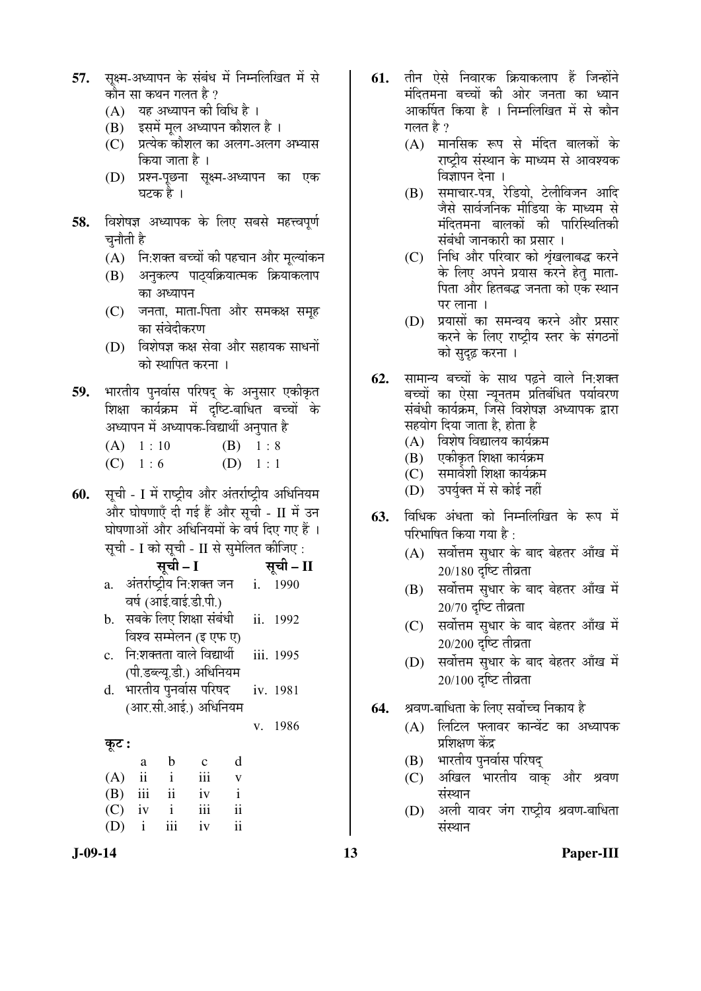- 57. सक्ष्म-अध्यापन के संबंध में निम्नलिखित में से कौन सा कथन गलत है ?
	- (A) यह अध्यापन की विधि है ।
	- (B) इसमें मल अध्यापन कौशल है ।
	- (C) प्रत्येक कौशल का अलग-अलग अभ्यास किया जाता है ।
	- (D) प्रश्न-पछना सक्ष्म-अध्यापन का एक घटक है ।
- **58.** विशेषज्ञ अध्यापक के लिए सबसे महत्त्वपूर्ण चनौती है
	- (A) नि:शक्त बच्चों की पहचान और मुल्यांकन
	- (B) अनुकल्प पाठ्यक्रियात्मक क्रियाकलाप का अध्यापन
	- (C) जनता, माता-पिता और समकक्ष समूह का संवेदीकरण
	- $(D)$  विशेषज्ञ कक्ष सेवा और सहायक साधनों को स्थापित करना ।
- 59. भारतीय पुनर्वास परिषद के अनुसार एकीकृत शिक्षा कार्यक्रम में दृष्टि-बाधित बच्चों के अध्यापन में अध्यापक-विद्यार्थी अनुपात है

| (A) 1:10        | $(B) \quad 1:8$ |
|-----------------|-----------------|
| $(C) \quad 1:6$ | $(D) \quad 1:1$ |

**60.** सूची - I में राष्ट्रीय और अंतर्राष्ट्रीय अधिनियम और घोषणाएँ दी गई हैं और सची - II में उन घोषणाओं और अधिनियमों के वर्ष दिए गए हैं । सूची - I को सूची - II से सुमेलित कीजिए :

सूची – I <del>सू</del>ची – II

- a. अंतर्राष्ट्रीय नि:शक्त जन वर्ष (आई.वाई.डी.पी.) i. 1990
- b. सबके लिए शिक्षा संबंधी विश्व सम्मेलन *(*इ एफ ए) ii. 1992
- c. नि:शक्तता वाले विद्यार्थी (पी.डब्ल्य.डी.) अधिनियम iii. 1995
- d. भारतीय पुनर्वास परिषद (आर.सी.आई.) अधिनियम iv. 1981

```
v. 1986
```

```
 Ûæú™ü :
```

|             | a | b            | $\mathbf{c}$ | d  |
|-------------|---|--------------|--------------|----|
|             |   | $(A)$ ii i   | iii          | v  |
|             |   | $(B)$ iii ii | iv           |    |
|             |   | $(C)$ iv i   | iii          | ii |
| $(D)$ i iii |   |              | iv           | ii |

- **61.** तीन ऐसे निवारक क्रियाकलाप हैं जिन्होंने मंदितमना बच्चों की ओर जनता का ध्यान आकर्षित किया है । निम्नलिखित में से कौन गलत है ?
	- $(A)$  मानसिक रूप से मंदित बालकों के राष्ट्रीय संस्थान के माध्यम से आवश्यक विज्ञापन देना ।
	- (B) समाचार-पत्र, रेडियो, टेलीविजन आदि जैसे सार्वजनिक मीडिया के माध्यम से मंदितमना बालकों की पारिस्थितिकी संबंधी जानकारी का प्रसार ।
	- (C) निधि और परिवार को शृंखलाबद्ध करने के लिए अपने प्रयास करने हेत् माता-पिता और हितबद्ध जनता को एक स्थान पर लाना ।
	- (D) प्रयासों का समन्वय करने और प्रसार करने के लिए राष्ट्रीय स्तर के संगठनों को सुदृढ़ करना ।
- **62.** सामान्य बच्चों के साथ पढ़ने वाले नि:शक्त बच्चों का ऐसा न्यूनतम प्रतिबंधित पर्यावरण संबंधी कार्यक्रम, जिसे विशेषज्ञ अध्यापक द्वारा सहयोग दिया जाता है, होता है
	- $(A)$  विशेष विद्यालय कार्यक्रम
	- (B) एकीकृत शिक्षा कार्यक्रम
	- (C) समावेशी शिक्षा कार्यक्रम
	- (D) उपर्युक्त में से कोई नहीं
- 63. विधिक अंधता को निम्नलिखित के रूप में परिभाषित किया गया है $\cdot$ 
	- (A) सर्वोत्तम सुधार के बाद बेहतर आँख में  $20/180$  दृष्टि तीव्रता
	- (B) सर्वोत्तम सुधार के बाद बेहतर आँख में  $20/70$  दृष्टि तीव्रता
	- (C) सर्वोत्तम सुधार के बाद बेहतर आँख में  $20/200$  दृष्टि तीव्रता
	- (D) सर्वोत्तम सुधार के बाद बेहतर आँख में  $20/100$  दृष्टि तीव्रता
- **64.** ⁄ श्रवण-बाधिता के लिए सर्वोच्च निकाय है
	- (A) लिटिल फ्लावर कान्वेंट का अध्यापक प्रशिक्षण केंद्र
	- (B) भारतीय पुनर्वास परिषद्
	- (C) अखिल भारतीय वाक् और श्रवण संस्थान
	- (D) अली यावर जंग राष्ट्रीय श्रवण-बाधिता संस्थान

**J-09-14 13 Paper-III**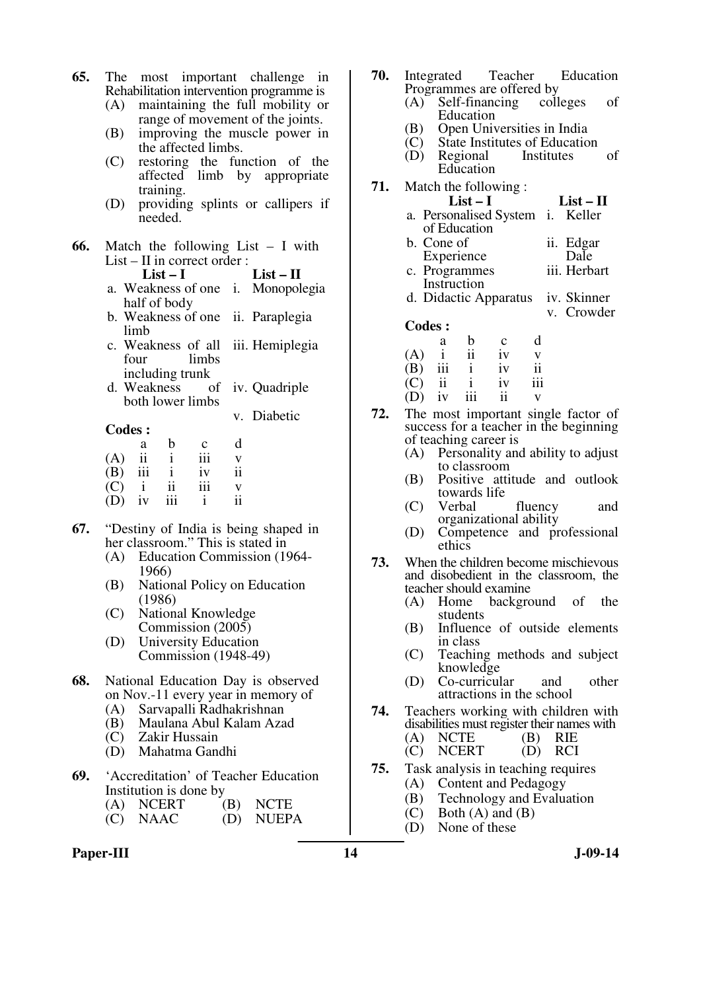- **65.** The most important challenge in Rehabilitation intervention programme is
	- (A) maintaining the full mobility or range of movement of the joints.
	- (B) improving the muscle power in the affected limbs.
	- (C) restoring the function of the affected limb by appropriate training.
	- (D) providing splints or callipers if needed.
- **66.** Match the following List I with List – II in correct order :<br>List – I List – **II** a. Weakness of one i. Monopolegia
	- half of body b. Weakness of one ii. Paraplegia limb
	- c. Weakness of all four limbs including trunk iii. Hemiplegia
	- d. Weakness both lower limbs iv. Quadriple

v. Diabetic

#### **Codes :**

| vvuvs . |     |                         |             |    |
|---------|-----|-------------------------|-------------|----|
|         | a   | b                       | $\mathbf c$ | d  |
| (A)     | ii  |                         | iii         | V  |
| (B)     | iii | $\mathbf{i}$            | iv          | ii |
| (C)     |     | $\overline{\mathbf{u}}$ | iii         |    |
| (D)     | iv  | iii                     |             | ii |

- **67.** "Destiny of India is being shaped in her classroom." This is stated in
	- (A) Education Commission (1964- 1966)
	- (B) National Policy on Education (1986)
	- (C) National Knowledge Commission (2005)
	- (D) University Education Commission (1948-49)
- **68.** National Education Day is observed on Nov.-11 every year in memory of
	- (A) Sarvapalli Radhakrishnan
	- (B) Maulana Abul Kalam Azad
	- (C) Zakir Hussain
	- (D) Mahatma Gandhi
- **69.** 'Accreditation' of Teacher Education Institution is done by
	- (A) NCERT (B) NCTE<br>(C) NAAC (D) NUEP
	- (D) NUEPA

## Paper-III **14** J-09-14

| 70. | Integrated Teacher Education<br>Programmes are offered by                                      |                           |
|-----|------------------------------------------------------------------------------------------------|---------------------------|
|     | Self-financing colleges<br>(A)<br>Education                                                    | оf                        |
|     | (B) Open Universities in India<br>(C) State Institutes of Education<br>(D) Regional Institutes | оf                        |
| 71. | Education<br>Match the following:                                                              |                           |
|     | List $-1$                                                                                      | $List-II$                 |
|     | a. Personalised System i. Keller<br>of Education                                               |                           |
|     | b. Cone of<br>Experience                                                                       | ii. Edgar<br>Dale         |
|     | c. Programmes<br>Instruction                                                                   | iii. Herbart              |
|     | d. Didactic Apparatus                                                                          | iv. Skinner<br>v. Crowder |

- **Codes :**
- a b c d  $(A)$  i ii iv v<br>  $(B)$  iii i iv ii  $(B)$  iii i iv (C) ii i iv iii  $(D)$  iv iii ii v
- **72.** The most important single factor of success for a teacher in the beginning of teaching career is
	- (A) Personality and ability to adjust to classroom
	- (B) Positive attitude and outlook towards life
	- (C) Verbal fluency and organizational ability
	- (D) Competence and professional ethics
- **73.** When the children become mischievous and disobedient in the classroom, the teacher should examine<br>(A) Home backgro
	- (A) Home background of the students
	- (B) Influence of outside elements in class
	- (C) Teaching methods and subject knowledge
	- (D) Co-curricular and other attractions in the school
- **74.** Teachers working with children with disabilities must register their names with<br>  $(A)$  NCTE  $(B)$  RIE
	- (A) NCTE (B) RIE<br>(C) NCERT (D) RCI NCERT
- **75.** Task analysis in teaching requires
	- (A) Content and Pedagogy
	- (B) Technology and Evaluation
	- $(C)$  Both  $(A)$  and  $(B)$
	- (D) None of these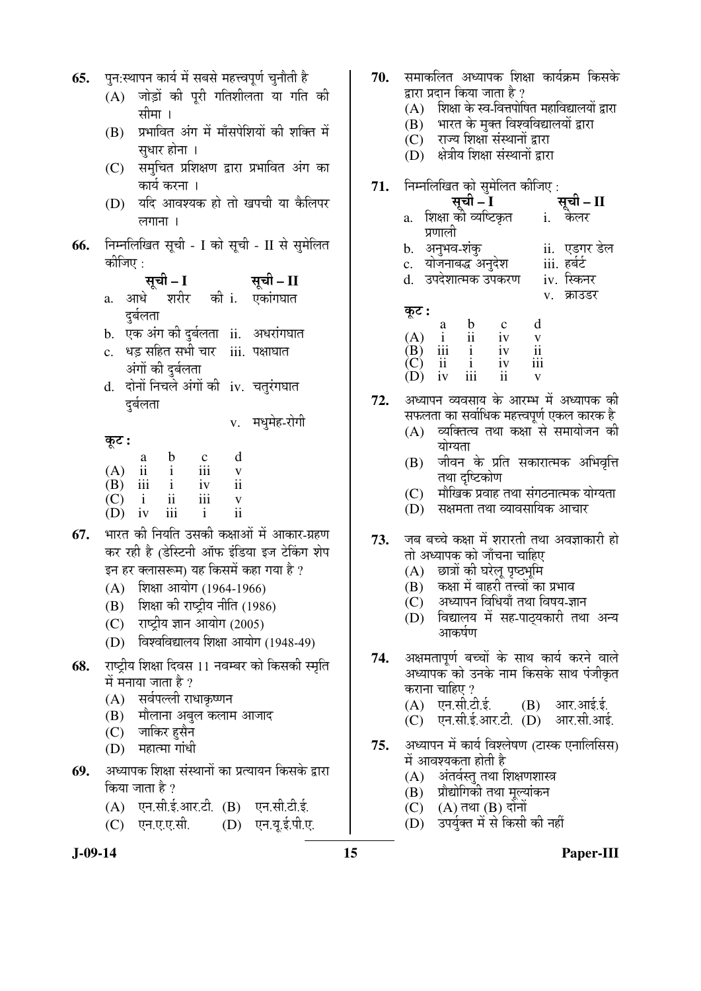| 65. | पुन:स्थापन कार्य में सबसे महत्त्वपूर्ण चुनौती है                                                             |
|-----|--------------------------------------------------------------------------------------------------------------|
|     | जोड़ों की पूरी गतिशीलता या गति की<br>(A)                                                                     |
|     | सीमा ।                                                                                                       |
|     | (B) प्रभावित अंग में माँसपेशियों की शक्ति में                                                                |
|     | सुधार होना ।                                                                                                 |
|     | (C) समुचित प्रशिक्षण द्वारा प्रभावित अंग का                                                                  |
|     | कार्य करना ।                                                                                                 |
|     | (D) यदि आवश्यक हो तो खपची या कैलिपर                                                                          |
|     | लगाना ।                                                                                                      |
|     |                                                                                                              |
| 66. | निम्नलिखित सूची - I को सूची - II से सुमेलित<br>कीजिए :                                                       |
|     | सूची – I                                                                                                     |
|     | सूची – II                                                                                                    |
|     | a. आधे शरीर की <b>i. एकांग</b> घात                                                                           |
|     | दुर्बलता                                                                                                     |
|     | b. एक अंग की दुर्बलता ii. अधरांगघात                                                                          |
|     | c. धड़ सहित सभी चार iii. पक्षाघात                                                                            |
|     | अंगों की दुर्बलता                                                                                            |
|     | दोनों निचले अंगों की iv. चतुरंगघात<br>d.                                                                     |
|     | दुर्बलता                                                                                                     |
|     | v. मधुमेह-रोगी                                                                                               |
|     | कूट :                                                                                                        |
|     | d<br>$\mathbf{b}$<br>(A) $\frac{a}{H}$ (R)<br>$\frac{c}{111}$<br>$\mathbf{i}$<br>$\mathbf{V}$                |
|     | $\overrightarrow{(\mathbf{B})}$ $\overrightarrow{iii}$ $\overrightarrow{i}$<br>$\overline{\mathbf{i}}$<br>iv |
|     | $\rm ii$<br>$(C)$ i<br>iii<br>$\mathbf V$                                                                    |
|     | ii<br>$\mathbf{i}$<br>$(D)$ iv<br>iii                                                                        |
| 67. | भारत की नियति उसकी कक्षाओं में आकार-ग्रहण                                                                    |
|     | कर रही है (डेस्टिनी ऑफ इंडिया इज टेकिंग शेप                                                                  |
|     | इन हर क्लासरूम) यह किसमें कहा गया है ?                                                                       |
|     | (A) शिक्षा आयोग (1964-1966)                                                                                  |
|     | (B) शिक्षा की राष्ट्रीय नीति (1986)                                                                          |
|     | (C) राष्ट्रीय ज्ञान आयोग (2005)                                                                              |
|     | विश्वविद्यालय शिक्षा आयोग (1948-49)<br>(D)                                                                   |
| 68. | राष्ट्रीय शिक्षा दिवस 11 नवम्बर को किसकी स्मृति                                                              |
|     | में मनाया जाता है ?                                                                                          |
|     | (A) सर्वपल्ली राधाकृष्णन                                                                                     |
|     | (B) मौलाना अबुल कलाम आजाद                                                                                    |
|     | $(C)$ जाकिर हुसैन                                                                                            |
|     | (D) महात्मा गांधी                                                                                            |
|     | 69. अध्यापक शिक्षा संस्थानों का प्रत्यायन किसके द्वारा                                                       |
|     | किया जाता है ?                                                                                               |
|     | (A) एन.सी.ई.आर.टी. (B) एन.सी.टी.ई.                                                                           |
|     | (C) एन.ए.ए.सी. (D) एन.यू.ई.पी.ए.                                                                             |

- 70. समाकलित अध्यापक शिक्षा कार्यक्रम किसके द्वारा प्रदान किया जाता है ?
	- $(A)$  शिक्षा के स्व-वित्तपोषित महाविद्यालयों द्वारा
	- $(B)$  भारत के मुक्त विश्वविद्यालयों द्वारा
	- (C) राज्य शिक्षा संस्थानों द्वारा  $(D)$  क्षेत्रीय शिक्षा संस्थानों द्वारा
	-
- **71.** ×®Ö´®Ö×»Ö×ÜÖŸÖ ÛúÖê ÃÖã´Öê×»ÖŸÖ Ûúßו֋ :
	- <u>सची II</u> a. शिक्षा को व्यष्टिकृत प्रणाली i. केलर
	- b. †®Öã³Ö¾Ö-¿ÖÓÛãú ii. ‹›üÝÖ¸ü ›êü»Ö
	- c. योजनाबद्ध अनुदेश iii. हर्बर्ट<br>d. उपदेशात्मक उपकरण iv. स्किनर
	- d. उपदेशात्मक उपकरण v. क्राउडर

- कूट : a b c d  $(A)$  i ii iv v<br>  $(B)$  iii i iv ii (B) iii i iv ii<br>(C) ii i iv iii (C) ii i iv iii (D) iv iii ii v
- 72. अध्यापन व्यवसाय के आरम्भ में अध्यापक की सफलता का सर्वाधिक महत्त्वपूर्ण एकल कारक है
	- $(A)$  व्यक्तित्व तथा कक्षा से समायोजन की योग्यता
	- (B) जीवन के प्रति सकारात्मक अभिवृत्ति तथा दृष्टिकोण
	- $(C)$   $\;$  मौखिक प्रवाह तथा संगठनात्मक योग्यता
	- $(D)$  सक्षमता तथा व्यावसायिक आचार
- 73. जब बच्चे कक्षा में शरारती तथा अवज्ञाकारी हो तो अध्यापक को जाँचना चाहिए
	- (A) छात्रों की घरेलू पृष्ठभूमि
	- $(B)$  कक्षा में बाहरी तत्त्वों का प्रभाव
	- $(C)$  अध्यापन विधियाँ तथा विषय-ज्ञान
	- $(D)$  विद्यालय में सह-पाठयकारी तथा अन्य आकर्षण
- 74. अक्षमतापूर्ण बच्चों के साथ कार्य करने वाले अध्यापक को उनके नाम किसके साथ पंजीकृत कराना चाहिए ?
	- $(A)$  एन.सी.टी.ई.  $(B)$  आर.आई.ई.
	- $(C)$  एन.सी.ई.आर.टी.  $(D)$  आर.सी.आई.
- 75. अध्यापन में कार्य विश्लेषण (टास्क एनालिसिस) में आवश्यकता होती है
	- $(A)$  अंतर्वस्तु तथा शिक्षणशास्त्र
	- $(B)$  प्रौद्योगिकी तथा मुल्यांकन
	- $(C)$   $(A)$  तथा  $(B)$  दोनों
	- (D) उपर्युक्त में से किसी की नहीं
- 

**J-09-14 15 Paper-III**